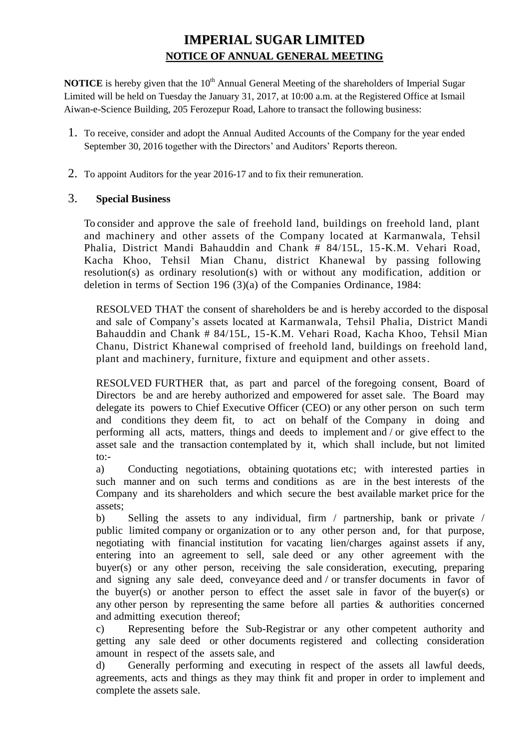# **IMPERIAL SUGAR LIMITED NOTICE OF ANNUAL GENERAL MEETING**

**NOTICE** is hereby given that the 10<sup>th</sup> Annual General Meeting of the shareholders of Imperial Sugar Limited will be held on Tuesday the January 31, 2017, at 10:00 a.m. at the Registered Office at Ismail Aiwan-e-Science Building, 205 Ferozepur Road, Lahore to transact the following business:

- 1. To receive, consider and adopt the Annual Audited Accounts of the Company for the year ended September 30, 2016 together with the Directors' and Auditors' Reports thereon.
- 2. To appoint Auditors for the year 2016-17 and to fix their remuneration.

## 3. **Special Business**

To consider and approve the sale of freehold land, buildings on freehold land, plant and machinery and other assets of the Company located at Karmanwala, Tehsil Phalia, District Mandi Bahauddin and Chank # 84/15L, 15-K.M. Vehari Road, Kacha Khoo, Tehsil Mian Chanu, district Khanewal by passing following resolution(s) as ordinary resolution(s) with or without any modification, addition or deletion in terms of Section 196 (3)(a) of the Companies Ordinance, 1984:

RESOLVED THAT the consent of shareholders be and is hereby accorded to the disposal and sale of Company's assets located at Karmanwala, Tehsil Phalia, District Mandi Bahauddin and Chank # 84/15L, 15-K.M. Vehari Road, Kacha Khoo, Tehsil Mian Chanu, District Khanewal comprised of freehold land, buildings on freehold land, plant and machinery, furniture, fixture and equipment and other assets.

RESOLVED FURTHER that, as part and parcel of the foregoing consent, Board of Directors be and are hereby authorized and empowered for asset sale. The Board may delegate its powers to Chief Executive Officer (CEO) or any other person on such term and conditions they deem fit, to act on behalf of the Company in doing and performing all acts, matters, things and deeds to implement and / or give effect to the asset sale and the transaction contemplated by it, which shall include, but not limited to:-

a) Conducting negotiations, obtaining quotations etc; with interested parties in such manner and on such terms and conditions as are in the best interests of the Company and its shareholders and which secure the best available market price for the assets;

b) Selling the assets to any individual, firm / partnership, bank or private / public limited company or organization or to any other person and, for that purpose, negotiating with financial institution for vacating lien/charges against assets if any, entering into an agreement to sell, sale deed or any other agreement with the buyer(s) or any other person, receiving the sale consideration, executing, preparing and signing any sale deed, conveyance deed and / or transfer documents in favor of the buyer(s) or another person to effect the asset sale in favor of the buyer(s) or any other person by representing the same before all parties & authorities concerned and admitting execution thereof;

c) Representing before the Sub-Registrar or any other competent authority and getting any sale deed or other documents registered and collecting consideration amount in respect of the assets sale, and

d) Generally performing and executing in respect of the assets all lawful deeds, agreements, acts and things as they may think fit and proper in order to implement and complete the assets sale.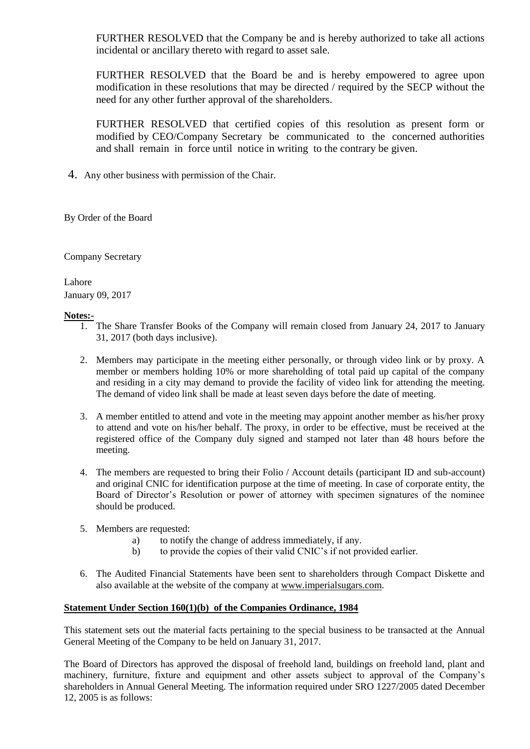FURTHER RESOLVED that the Company be and is hereby authorized to take all actions incidental or ancillary thereto with regard to asset sale.

FURTHER RESOLVED that the Board be and is hereby empowered to agree upon modification in these resolutions that may be directed / required by the SECP without the need for any other further approval of the shareholders.

FURTHER RESOLVED that certified copies of this resolution as present form or modified by CEO/Company Secretary be communicated to the concerned authorities and shall remain in force until notice in writing to the contrary be given.

4. Any other business with permission of the Chair.

By Order of the Board

Company Secretary

Lahore January 09, 2017

#### **Notes:-**

- 1. The Share Transfer Books of the Company will remain closed from January 24, 2017 to January 31, 2017 (both days inclusive).
- 2. Members may participate in the meeting either personally, or through video link or by proxy. A member or members holding 10% or more shareholding of total paid up capital of the company and residing in a city may demand to provide the facility of video link for attending the meeting. The demand of video link shall be made at least seven days before the date of meeting.
- 3. A member entitled to attend and vote in the meeting may appoint another member as his/her proxy to attend and vote on his/her behalf. The proxy, in order to be effective, must be received at the registered office of the Company duly signed and stamped not later than 48 hours before the meeting.
- 4. The members are requested to bring their Folio / Account details (participant ID and sub-account) and original CNIC for identification purpose at the time of meeting. In case of corporate entity, the Board of Director's Resolution or power of attorney with specimen signatures of the nominee should be produced.
- 5. Members are requested:
	- a) to notify the change of address immediately, if any.
	- b) to provide the copies of their valid CNIC's if not provided earlier.
- 6. The Audited Financial Statements have been sent to shareholders through Compact Diskette and also available at the website of the company at [www.imperialsugars.com.](http://www.imperialsugars.com/)

### **Statement Under Section 160(1)(b) of the Companies Ordinance, 1984**

This statement sets out the material facts pertaining to the special business to be transacted at the Annual General Meeting of the Company to be held on January 31, 2017.

The Board of Directors has approved the disposal of freehold land, buildings on freehold land, plant and machinery, furniture, fixture and equipment and other assets subject to approval of the Company's shareholders in Annual General Meeting. The information required under SRO 1227/2005 dated December 12, 2005 is as follows: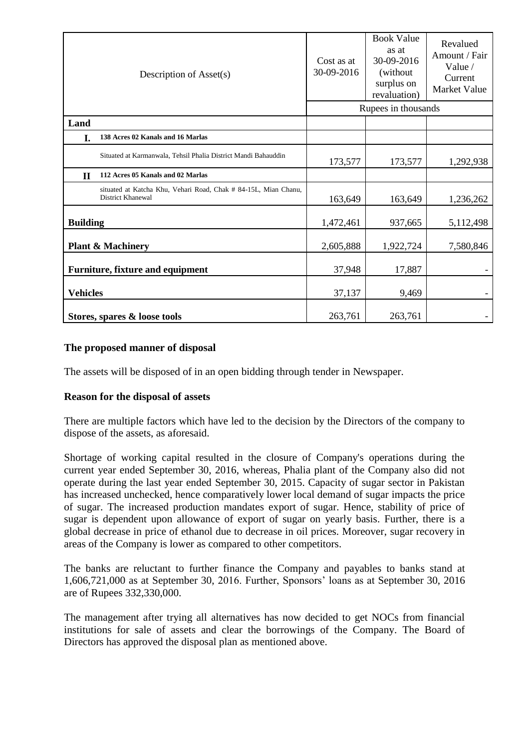|                                         | Description of Asset(s)                                                              | Cost as at<br>30-09-2016 | <b>Book Value</b><br>as at<br>30-09-2016<br>(without)<br>surplus on<br>revaluation) | Revalued<br>Amount / Fair<br>Value $/$<br>Current<br>Market Value |
|-----------------------------------------|--------------------------------------------------------------------------------------|--------------------------|-------------------------------------------------------------------------------------|-------------------------------------------------------------------|
|                                         |                                                                                      | Rupees in thousands      |                                                                                     |                                                                   |
| Land                                    |                                                                                      |                          |                                                                                     |                                                                   |
| I.                                      | 138 Acres 02 Kanals and 16 Marlas                                                    |                          |                                                                                     |                                                                   |
|                                         | Situated at Karmanwala, Tehsil Phalia District Mandi Bahauddin                       | 173,577                  | 173,577                                                                             | 1,292,938                                                         |
| $\mathbf H$                             | 112 Acres 05 Kanals and 02 Marlas                                                    |                          |                                                                                     |                                                                   |
|                                         | situated at Katcha Khu, Vehari Road, Chak # 84-15L, Mian Chanu,<br>District Khanewal | 163,649                  | 163,649                                                                             | 1,236,262                                                         |
| <b>Building</b>                         |                                                                                      | 1,472,461                | 937,665                                                                             | 5,112,498                                                         |
| <b>Plant &amp; Machinery</b>            |                                                                                      | 2,605,888                | 1,922,724                                                                           | 7,580,846                                                         |
| <b>Furniture, fixture and equipment</b> |                                                                                      | 37,948                   | 17,887                                                                              |                                                                   |
| <b>Vehicles</b>                         |                                                                                      | 37,137                   | 9,469                                                                               |                                                                   |
| Stores, spares & loose tools            |                                                                                      | 263,761                  | 263,761                                                                             |                                                                   |

## **The proposed manner of disposal**

The assets will be disposed of in an open bidding through tender in Newspaper.

### **Reason for the disposal of assets**

There are multiple factors which have led to the decision by the Directors of the company to dispose of the assets, as aforesaid.

Shortage of working capital resulted in the closure of Company's operations during the current year ended September 30, 2016, whereas, Phalia plant of the Company also did not operate during the last year ended September 30, 2015. Capacity of sugar sector in Pakistan has increased unchecked, hence comparatively lower local demand of sugar impacts the price of sugar. The increased production mandates export of sugar. Hence, stability of price of sugar is dependent upon allowance of export of sugar on yearly basis. Further, there is a global decrease in price of ethanol due to decrease in oil prices. Moreover, sugar recovery in areas of the Company is lower as compared to other competitors.

The banks are reluctant to further finance the Company and payables to banks stand at 1,606,721,000 as at September 30, 2016. Further, Sponsors' loans as at September 30, 2016 are of Rupees 332,330,000.

The management after trying all alternatives has now decided to get NOCs from financial institutions for sale of assets and clear the borrowings of the Company. The Board of Directors has approved the disposal plan as mentioned above.